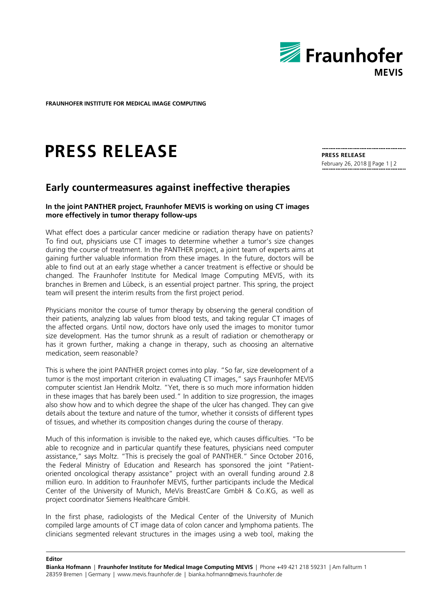

**FRAUNHOFER INSTITUTE FOR MEDICAL IMAGE COMPUTING** 

## **PRESS RELEASE**

**PRESS RELEASE** February 26, 2018 || Page 1 | 2

## **Early countermeasures against ineffective therapies**

## **In the joint PANTHER project, Fraunhofer MEVIS is working on using CT images more effectively in tumor therapy follow-ups**

What effect does a particular cancer medicine or radiation therapy have on patients? To find out, physicians use CT images to determine whether a tumor's size changes during the course of treatment. In the PANTHER project, a joint team of experts aims at gaining further valuable information from these images. In the future, doctors will be able to find out at an early stage whether a cancer treatment is effective or should be changed. The Fraunhofer Institute for Medical Image Computing MEVIS, with its branches in Bremen and Lübeck, is an essential project partner. This spring, the project team will present the interim results from the first project period.

Physicians monitor the course of tumor therapy by observing the general condition of their patients, analyzing lab values from blood tests, and taking regular CT images of the affected organs. Until now, doctors have only used the images to monitor tumor size development. Has the tumor shrunk as a result of radiation or chemotherapy or has it grown further, making a change in therapy, such as choosing an alternative medication, seem reasonable?

This is where the joint PANTHER project comes into play. "So far, size development of a tumor is the most important criterion in evaluating CT images," says Fraunhofer MEVIS computer scientist Jan Hendrik Moltz. "Yet, there is so much more information hidden in these images that has barely been used." In addition to size progression, the images also show how and to which degree the shape of the ulcer has changed. They can give details about the texture and nature of the tumor, whether it consists of different types of tissues, and whether its composition changes during the course of therapy.

Much of this information is invisible to the naked eye, which causes difficulties. "To be able to recognize and in particular quantify these features, physicians need computer assistance," says Moltz. "This is precisely the goal of PANTHER." Since October 2016, the Federal Ministry of Education and Research has sponsored the joint "Patientoriented oncological therapy assistance" project with an overall funding around 2.8 million euro. In addition to Fraunhofer MEVIS, further participants include the Medical Center of the University of Munich, MeVis BreastCare GmbH & Co.KG, as well as project coordinator Siemens Healthcare GmbH.

In the first phase, radiologists of the Medical Center of the University of Munich compiled large amounts of CT image data of colon cancer and lymphoma patients. The clinicians segmented relevant structures in the images using a web tool, making the

**Editor**